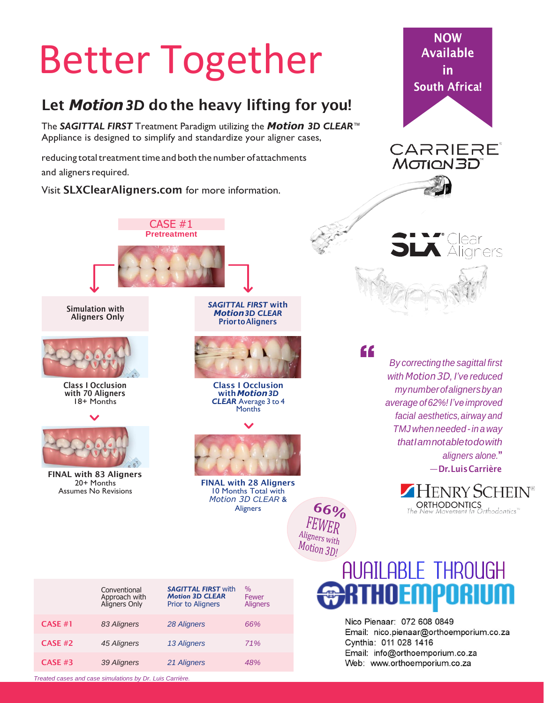## Better Together

### Let *Motion3D* do the heavy lifting for you!

The *SAGITTAL FIRST* Treatment Paradigm utilizing the *Motion 3D CLEAR™* Appliance is designed to simplify and standardize your aligner cases,

reducing total treatment time and both the number of attachments reducing total treatment time and both the number of attachments  $\mathsf{M}\sigma$  and aligners required.

Visit SLXClearAligners.com for more information.





#### *mynumberofalignersbyan average of62%!I've improved facial aesthetics,airway and TMJwhen needed-inaway thatIamnotabletodowith aligners alone.*" —Dr.LuisCarrière

HENRY SCHEIN® **ORTHODONTICS**<br>e New Movement In Orthodontics"

# **AUAILABLE THROUGH**

Nico Pienaar: 072 608 0849 Email: nico.pienaar@orthoemporium.co.za Cynthia: 011 028 1416 Email: info@orthoemporium.co.za Web: www.orthoemporium.co.za